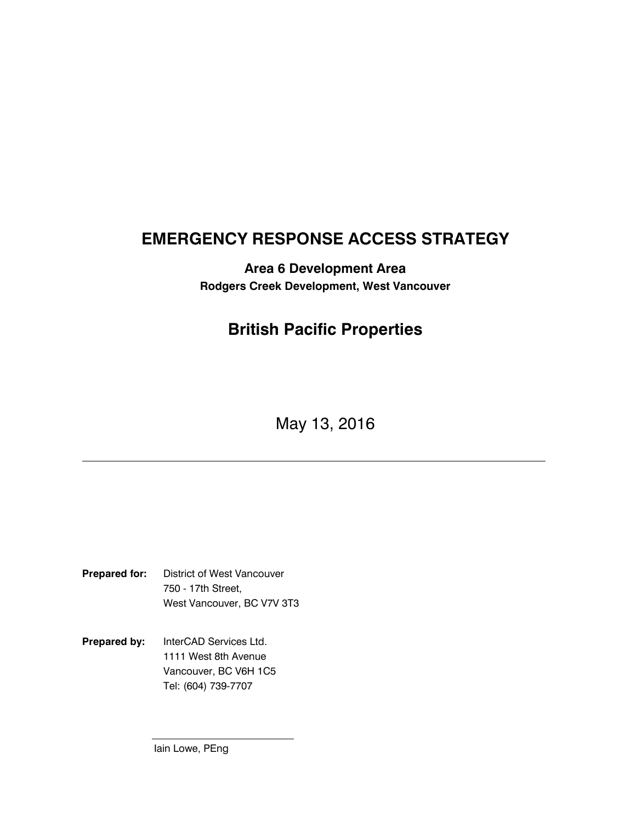# EMERGENCY RESPONSE ACCESS STRATEGY

Area 6 Development Area Rodgers Creek Development, West Vancouver

## British Pacific Properties

May 13, 2016

Prepared for: District of West Vancouver 750 - 17th Street, West Vancouver, BC V7V 3T3

Prepared by: InterCAD Services Ltd. 1111 West 8th Avenue Vancouver, BC V6H 1C5 Tel: (604) 739-7707

Iain Lowe, PEng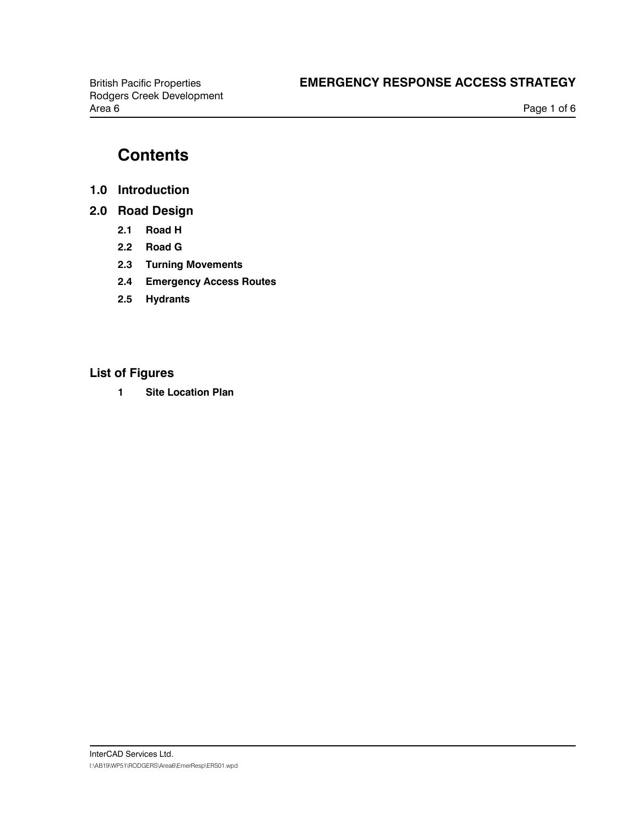# **Contents**

- 1.0 Introduction
- 2.0 Road Design
	- 2.1 Road H
	- 2.2 Road G
	- 2.3 Turning Movements
	- 2.4 Emergency Access Routes
	- 2.5 Hydrants

### List of Figures

1 Site Location Plan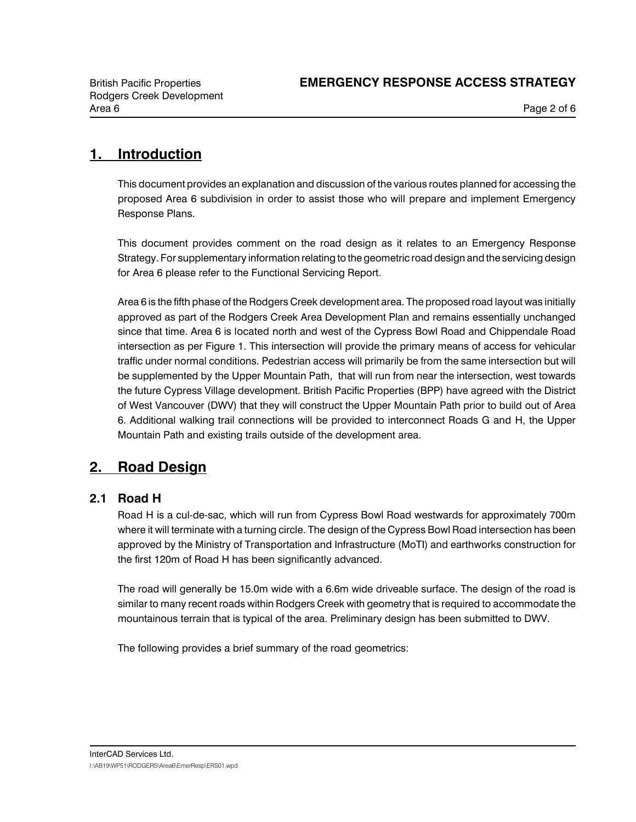## 1. Introduction

This document provides an explanation and discussion of the various routes planned for accessing the proposed Area 6 subdivision in order to assist those who will prepare and implement Emergency Response Plans.

This document provides comment on the road design as it relates to an Emergency Response Strategy. For supplementary information relating to the geometric road design and the servicing design for Area 6 please refer to the Functional Servicing Report.

Area 6 is the fifth phase of the Rodgers Creek development area. The proposed road layout was initially approved as part of the Rodgers Creek Area Development Plan and remains essentially unchanged since that time. Area 6 is located north and west of the Cypress Bowl Road and Chippendale Road intersection as per Figure 1. This intersection will provide the primary means of access for vehicular traffic under normal conditions. Pedestrian access will primarily be from the same intersection but will be supplemented by the Upper Mountain Path, that will run from near the intersection, west towards the future Cypress Village development. British Pacific Properties (BPP) have agreed with the District of West Vancouver (DWV) that they will construct the Upper Mountain Path prior to build out of Area 6. Additional walking trail connections will be provided to interconnect Roads G and H, the Upper Mountain Path and existing trails outside of the development area.

## 2. Road Design

#### 2.1 Road H

Road H is a cul-de-sac, which will run from Cypress Bowl Road westwards for approximately 700m where it will terminate with a turning circle. The design of the Cypress Bowl Road intersection has been approved by the Ministry of Transportation and Infrastructure (MoTI) and earthworks construction for the first 120m of Road H has been significantly advanced.

The road will generally be 15.0m wide with a 6.6m wide driveable surface. The design of the road is similar to many recent roads within Rodgers Creek with geometry that is required to accommodate the mountainous terrain that is typical of the area. Preliminary design has been submitted to DWV.

The following provides a brief summary of the road geometrics: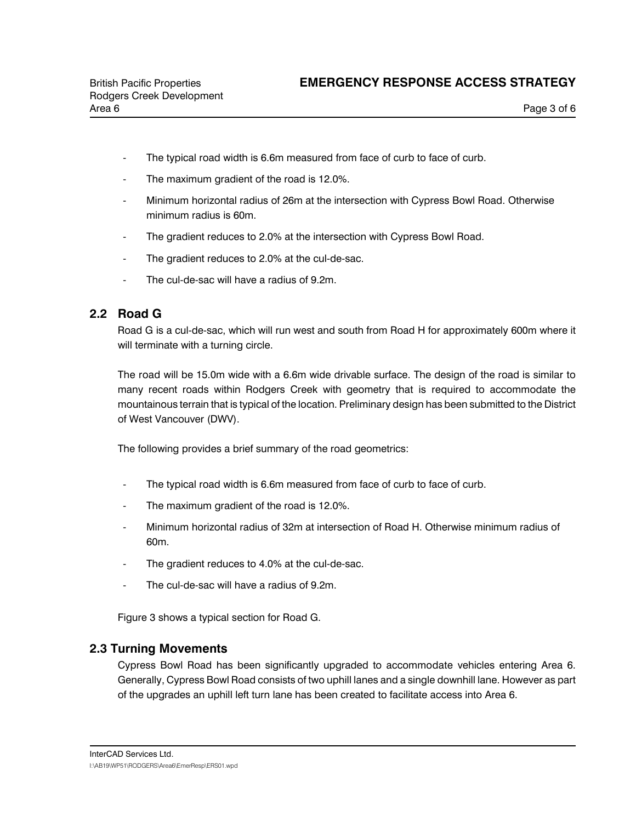- The typical road width is 6.6m measured from face of curb to face of curb.
- The maximum gradient of the road is 12.0%.
- Minimum horizontal radius of 26m at the intersection with Cypress Bowl Road. Otherwise minimum radius is 60m.
- The gradient reduces to 2.0% at the intersection with Cypress Bowl Road.
- The gradient reduces to 2.0% at the cul-de-sac.
- The cul-de-sac will have a radius of 9.2m.

#### 2.2 Road G

Road G is a cul-de-sac, which will run west and south from Road H for approximately 600m where it will terminate with a turning circle.

The road will be 15.0m wide with a 6.6m wide drivable surface. The design of the road is similar to many recent roads within Rodgers Creek with geometry that is required to accommodate the mountainous terrain that is typical of the location. Preliminary design has been submitted to the District of West Vancouver (DWV).

The following provides a brief summary of the road geometrics:

- The typical road width is 6.6m measured from face of curb to face of curb.
- The maximum gradient of the road is 12.0%.
- Minimum horizontal radius of 32m at intersection of Road H. Otherwise minimum radius of 60m.
- The gradient reduces to 4.0% at the cul-de-sac.
- The cul-de-sac will have a radius of 9.2m.

Figure 3 shows a typical section for Road G.

#### 2.3 Turning Movements

Cypress Bowl Road has been significantly upgraded to accommodate vehicles entering Area 6. Generally, Cypress Bowl Road consists of two uphill lanes and a single downhill lane. However as part of the upgrades an uphill left turn lane has been created to facilitate access into Area 6.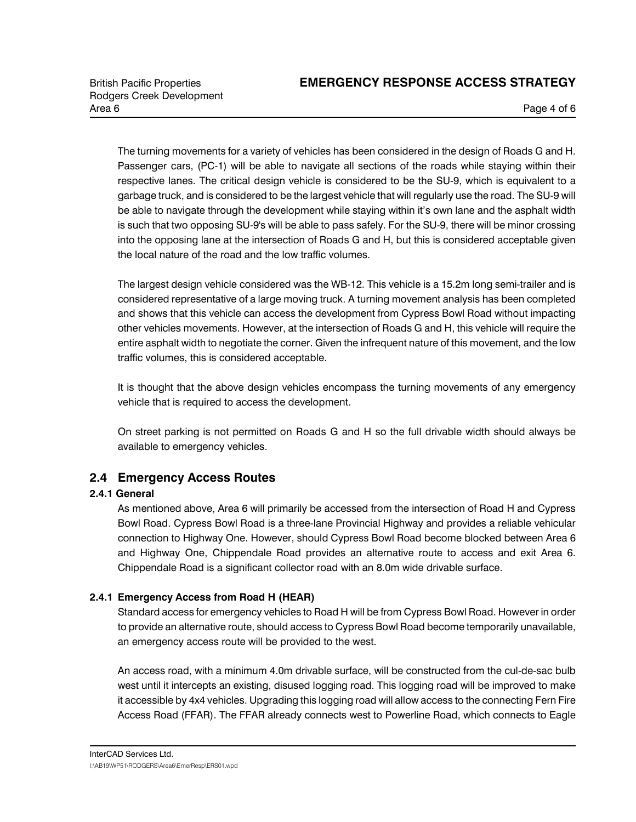The turning movements for a variety of vehicles has been considered in the design of Roads G and H. Passenger cars, (PC-1) will be able to navigate all sections of the roads while staying within their respective lanes. The critical design vehicle is considered to be the SU-9, which is equivalent to a garbage truck, and is considered to be the largest vehicle that will regularly use the road. The SU-9 will be able to navigate through the development while staying within it's own lane and the asphalt width is such that two opposing SU-9's will be able to pass safely. For the SU-9, there will be minor crossing into the opposing lane at the intersection of Roads G and H, but this is considered acceptable given the local nature of the road and the low traffic volumes.

The largest design vehicle considered was the WB-12. This vehicle is a 15.2m long semi-trailer and is considered representative of a large moving truck. A turning movement analysis has been completed and shows that this vehicle can access the development from Cypress Bowl Road without impacting other vehicles movements. However, at the intersection of Roads G and H, this vehicle will require the entire asphalt width to negotiate the corner. Given the infrequent nature of this movement, and the low traffic volumes, this is considered acceptable.

It is thought that the above design vehicles encompass the turning movements of any emergency vehicle that is required to access the development.

On street parking is not permitted on Roads G and H so the full drivable width should always be available to emergency vehicles.

### 2.4 Emergency Access Routes

#### 2.4.1 General

As mentioned above, Area 6 will primarily be accessed from the intersection of Road H and Cypress Bowl Road. Cypress Bowl Road is a three-lane Provincial Highway and provides a reliable vehicular connection to Highway One. However, should Cypress Bowl Road become blocked between Area 6 and Highway One, Chippendale Road provides an alternative route to access and exit Area 6. Chippendale Road is a significant collector road with an 8.0m wide drivable surface.

#### 2.4.1 Emergency Access from Road H (HEAR)

Standard access for emergency vehicles to Road H will be from Cypress Bowl Road. However in order to provide an alternative route, should access to Cypress Bowl Road become temporarily unavailable, an emergency access route will be provided to the west.

An access road, with a minimum 4.0m drivable surface, will be constructed from the cul-de-sac bulb west until it intercepts an existing, disused logging road. This logging road will be improved to make it accessible by 4x4 vehicles. Upgrading this logging road will allow access to the connecting Fern Fire Access Road (FFAR). The FFAR already connects west to Powerline Road, which connects to Eagle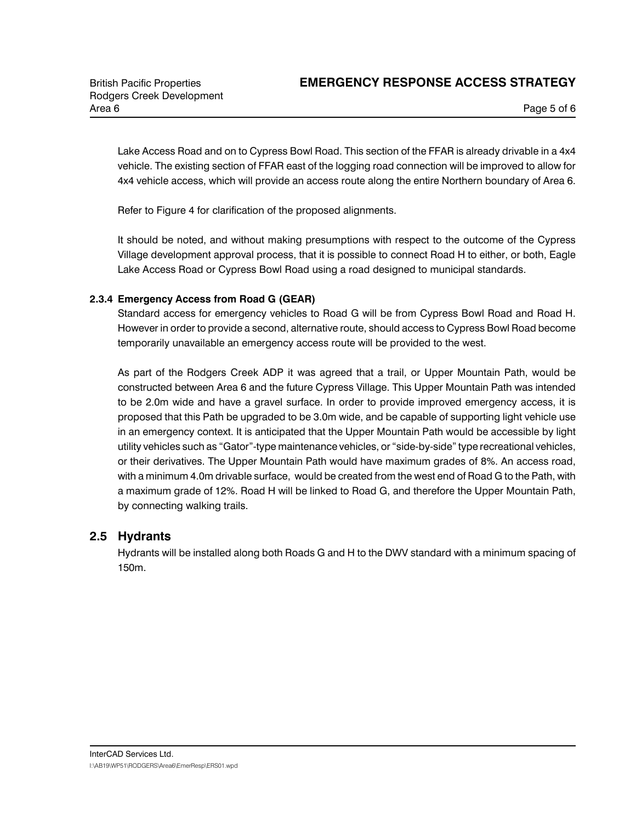Lake Access Road and on to Cypress Bowl Road. This section of the FFAR is already drivable in a 4x4 vehicle. The existing section of FFAR east of the logging road connection will be improved to allow for 4x4 vehicle access, which will provide an access route along the entire Northern boundary of Area 6.

Refer to Figure 4 for clarification of the proposed alignments.

It should be noted, and without making presumptions with respect to the outcome of the Cypress Village development approval process, that it is possible to connect Road H to either, or both, Eagle Lake Access Road or Cypress Bowl Road using a road designed to municipal standards.

#### 2.3.4 Emergency Access from Road G (GEAR)

Standard access for emergency vehicles to Road G will be from Cypress Bowl Road and Road H. However in order to provide a second, alternative route, should access to Cypress Bowl Road become temporarily unavailable an emergency access route will be provided to the west.

As part of the Rodgers Creek ADP it was agreed that a trail, or Upper Mountain Path, would be constructed between Area 6 and the future Cypress Village. This Upper Mountain Path was intended to be 2.0m wide and have a gravel surface. In order to provide improved emergency access, it is proposed that this Path be upgraded to be 3.0m wide, and be capable of supporting light vehicle use in an emergency context. It is anticipated that the Upper Mountain Path would be accessible by light utility vehicles such as "Gator"-type maintenance vehicles, or "side-by-side" type recreational vehicles, or their derivatives. The Upper Mountain Path would have maximum grades of 8%. An access road, with a minimum 4.0m drivable surface, would be created from the west end of Road G to the Path, with a maximum grade of 12%. Road H will be linked to Road G, and therefore the Upper Mountain Path, by connecting walking trails.

#### 2.5 Hydrants

Hydrants will be installed along both Roads G and H to the DWV standard with a minimum spacing of 150m.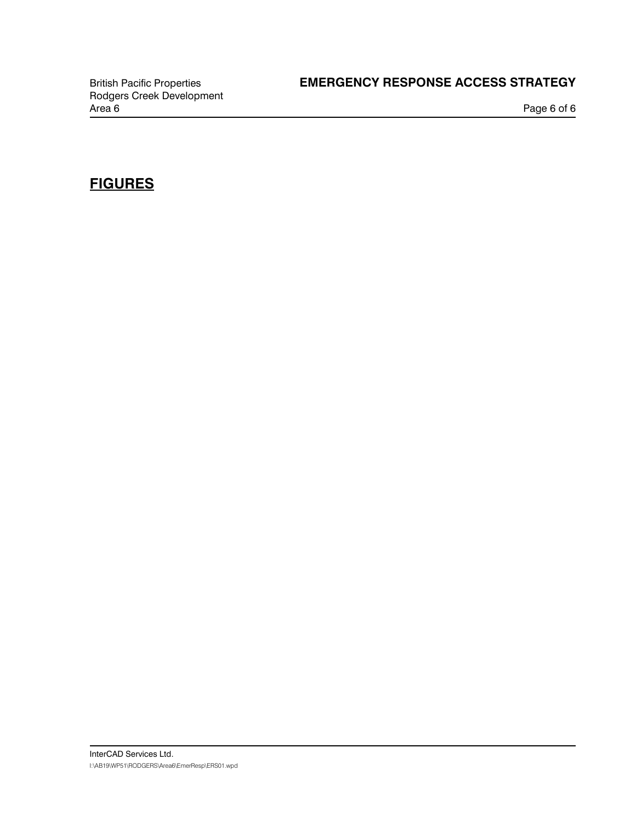### British Pacific Properties **EMERGENCY RESPONSE ACCESS STRATEGY**

Page 6 of 6

### **FIGURES**